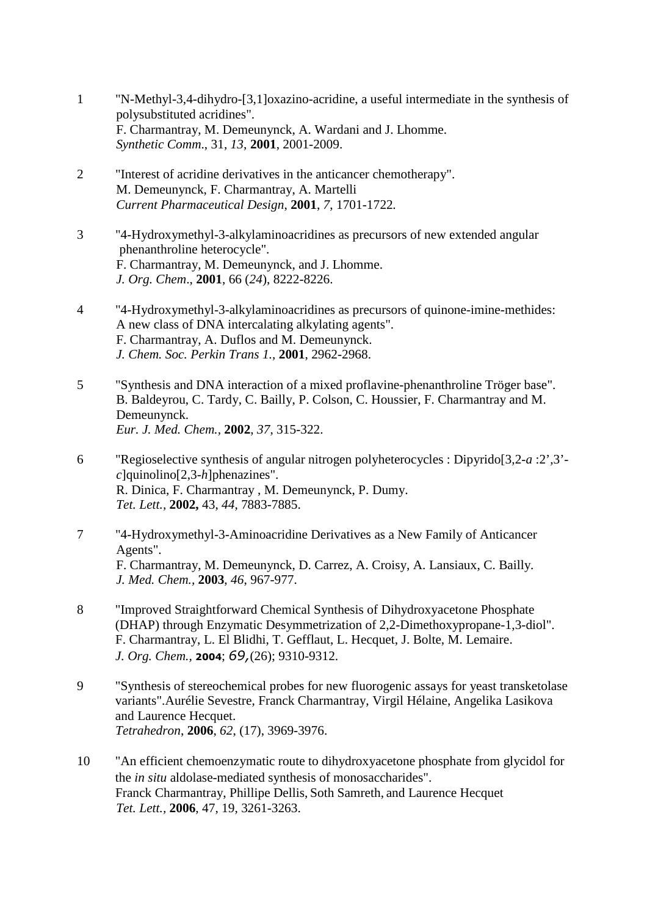- 1 "N-Methyl-3,4-dihydro-[3,1]oxazino-acridine, a useful intermediate in the synthesis of polysubstituted acridines". F. Charmantray, M. Demeunynck, A. Wardani and J. Lhomme. *Synthetic Comm*., 31, *13*, **2001**, 2001-2009.
- 2 "Interest of acridine derivatives in the anticancer chemotherapy". M. Demeunynck, F. Charmantray, A. Martelli *Current Pharmaceutical Design*, **2001**, *7*, 1701-1722*.*
- 3 "4-Hydroxymethyl-3-alkylaminoacridines as precursors of new extended angular phenanthroline heterocycle". F. Charmantray, M. Demeunynck, and J. Lhomme. *J. Org. Chem*., **2001**, 66 (*24*), 8222-8226.
- 4 "4-Hydroxymethyl-3-alkylaminoacridines as precursors of quinone-imine-methides: A new class of DNA intercalating alkylating agents". F. Charmantray, A. Duflos and M. Demeunynck. *J. Chem. Soc. Perkin Trans 1.,* **2001**, 2962-2968.
- 5 "Synthesis and DNA interaction of a mixed proflavine-phenanthroline Tröger base". B. Baldeyrou, C. Tardy, C. Bailly, P. Colson, C. Houssier, F. Charmantray and M. Demeunynck. *Eur. J. Med. Chem.,* **2002**, *37*, 315-322.
- 6 "Regioselective synthesis of angular nitrogen polyheterocycles : Dipyrido[3,2-*a* :2',3' *c*]quinolino[2,3-*h*]phenazines". R. Dinica, F. Charmantray , M. Demeunynck, P. Dumy. *Tet. Lett.,* **2002,** 43, *44*, 7883-7885.
- 7 "4-Hydroxymethyl-3-Aminoacridine Derivatives as a New Family of Anticancer Agents". F. Charmantray, M. Demeunynck, D. Carrez, A. Croisy, A. Lansiaux, C. Bailly. *J. Med. Chem.,* **2003**, *46*, 967-977.
- 8 "Improved Straightforward Chemical Synthesis of Dihydroxyacetone Phosphate (DHAP) through Enzymatic Desymmetrization of 2,2-Dimethoxypropane-1,3-diol". F. Charmantray, L. El Blidhi, T. Gefflaut, L. Hecquet, J. Bolte, M. Lemaire. *J. Org. Chem.,* **2004**; *69,*(26); 9310-9312.
- 9 "Synthesis of stereochemical probes for new fluorogenic assays for yeast transketolase variants".Aurélie Sevestre, Franck Charmantray, Virgil Hélaine, Angelika Lasikova and Laurence Hecquet. *Tetrahedron*, **2006**, *62*, (17), 3969-3976.
- 10 "An efficient chemoenzymatic route to dihydroxyacetone phosphate from glycidol for the *in situ* aldolase-mediated synthesis of monosaccharides". Franck Charmantray, Phillipe Dellis, Soth Samreth, and Laurence Hecquet *Tet. Lett.,* **2006**, 47, 19, 3261-3263.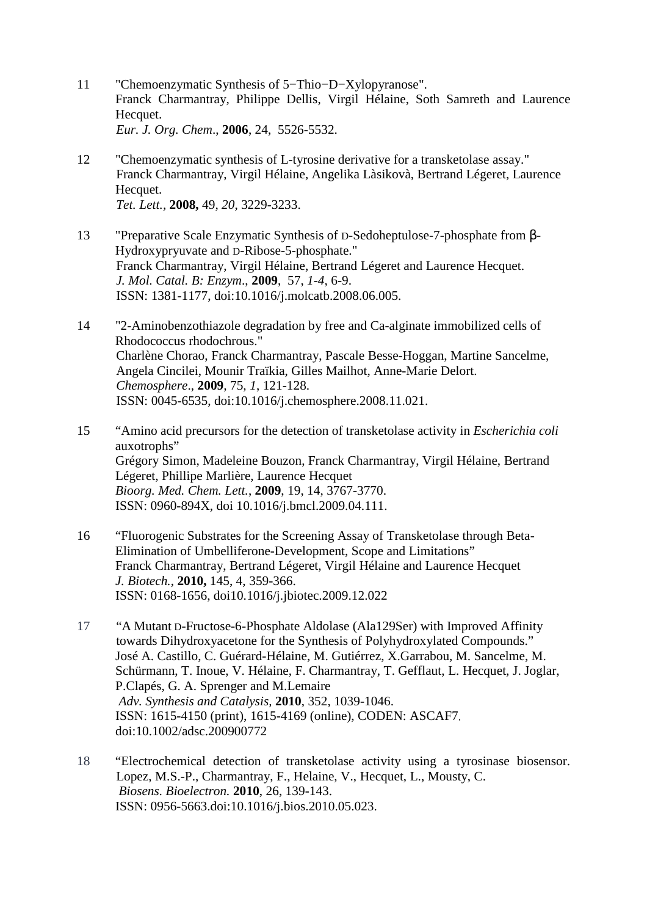- 11 "Chemoenzymatic Synthesis of 5−Thio−D−Xylopyranose". Franck Charmantray, Philippe Dellis, Virgil Hélaine, Soth Samreth and Laurence Hecquet. *Eur. J. Org. Chem*., **2006**, 24, 5526-5532.
- 12 "Chemoenzymatic synthesis of L-tyrosine derivative for a transketolase assay." Franck Charmantray, Virgil Hélaine, Angelika Làsikovà, Bertrand Légeret, Laurence Hecquet. *Tet. Lett.,* **2008,** 49, *20*, 3229-3233.
- 13 "Preparative Scale Enzymatic Synthesis of D-Sedoheptulose-7-phosphate from β-Hydroxypryuvate and D-Ribose-5-phosphate." Franck Charmantray, Virgil Hélaine, Bertrand Légeret and Laurence Hecquet. *J. Mol. Catal. B: Enzym*., **2009**, 57, *1-4*, 6-9. ISSN: 1381-1177, doi:10.1016/j.molcatb.2008.06.005.
- 14 "2-Aminobenzothiazole degradation by free and Ca-alginate immobilized cells of Rhodococcus rhodochrous." Charlène Chorao, Franck Charmantray, Pascale Besse-Hoggan, Martine Sancelme, Angela Cincilei, Mounir Traïkia, Gilles Mailhot, Anne-Marie Delort. *Chemosphere*., **2009***,* 75*, 1*, 121-128. ISSN: 0045-6535, doi:10.1016/j.chemosphere.2008.11.021.
- 15 "Amino acid precursors for the detection of transketolase activity in *Escherichia coli*  auxotrophs" Grégory Simon, Madeleine Bouzon, Franck Charmantray, Virgil Hélaine, Bertrand Légeret, Phillipe Marlière, Laurence Hecquet *Bioorg. Med. Chem. Lett.*, **2009**, 19, 14, 3767-3770. ISSN: 0960-894X, doi 10.1016/j.bmcl.2009.04.111.
- 16 "Fluorogenic Substrates for the Screening Assay of Transketolase through Beta-Elimination of Umbelliferone-Development, Scope and Limitations" Franck Charmantray, Bertrand Légeret, Virgil Hélaine and Laurence Hecquet *J. Biotech.*, **2010,** 145, 4, 359-366. ISSN: 0168-1656, doi10.1016/j.jbiotec.2009.12.022
- 17 "A Mutant D-Fructose-6-Phosphate Aldolase (Ala129Ser) with Improved Affinity towards Dihydroxyacetone for the Synthesis of Polyhydroxylated Compounds." José A. Castillo, C. Guérard-Hélaine, M. Gutiérrez, X.Garrabou, M. Sancelme, M. Schürmann, T. Inoue, V. Hélaine, F. Charmantray, T. Gefflaut, L. Hecquet, J. Joglar, P.Clapés, G. A. Sprenger and M.Lemaire *Adv. Synthesis and Catalysis,* **2010**, 352, 1039-1046. ISSN: 1615-4150 (print), 1615-4169 (online), CODEN: ASCAF7, doi:10.1002/adsc.200900772
- 18 "Electrochemical detection of transketolase activity using a tyrosinase biosensor. Lopez, M.S.-P., Charmantray, F., Helaine, V., Hecquet, L., Mousty, C.  *Biosens. Bioelectron.* **2010**, 26, 139-143. ISSN: 0956-5663.doi:10.1016/j.bios.2010.05.023.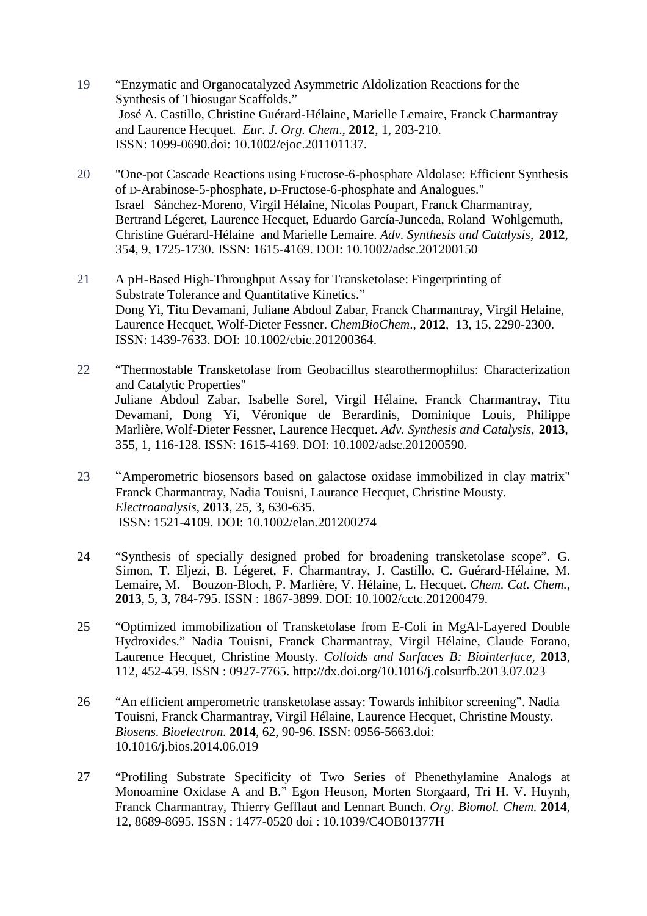- 19 "Enzymatic and Organocatalyzed Asymmetric Aldolization Reactions for the Synthesis of Thiosugar Scaffolds." José A. Castillo, Christine Guérard-Hélaine, Marielle Lemaire, Franck Charmantray and Laurence Hecquet. *Eur. J. Org. Chem*., **2012**, 1, 203-210. ISSN: 1099-0690.doi: 10.1002/ejoc.201101137.
- 20 "One-pot Cascade Reactions using Fructose-6-phosphate Aldolase: Efficient Synthesis of D-Arabinose-5-phosphate, D-Fructose-6-phosphate and Analogues." Israel Sánchez-Moreno, Virgil Hélaine, Nicolas Poupart, Franck Charmantray, Bertrand Légeret, Laurence Hecquet, Eduardo García-Junceda, Roland Wohlgemuth, Christine Guérard-Hélaine and Marielle Lemaire. *Adv. Synthesis and Catalysis,* **2012**, 354, 9, 1725-1730. ISSN: 1615-4169. DOI: 10.1002/adsc.201200150
- 21 A pH-Based High-Throughput Assay for Transketolase: Fingerprinting of Substrate Tolerance and Quantitative Kinetics." Dong Yi, Titu Devamani, Juliane Abdoul Zabar, Franck Charmantray, Virgil Helaine, Laurence Hecquet, Wolf-Dieter Fessner. *ChemBioChem*., **2012**, 13, 15, 2290-2300. ISSN: 1439-7633. DOI: 10.1002/cbic.201200364.
- 22 "Thermostable Transketolase from Geobacillus stearothermophilus: Characterization and Catalytic Properties" Juliane Abdoul Zabar, Isabelle Sorel, Virgil Hélaine, Franck Charmantray, Titu Devamani, Dong Yi, Véronique de Berardinis, Dominique Louis, Philippe Marlière, Wolf-Dieter Fessner, Laurence Hecquet. *Adv. Synthesis and Catalysis*, **2013**, 355, 1, 116-128. ISSN: 1615-4169. DOI: 10.1002/adsc.201200590.
- 23 "Amperometric biosensors based on galactose oxidase immobilized in clay matrix" Franck Charmantray, Nadia Touisni, Laurance Hecquet, Christine Mousty. *Electroanalysis*, **2013**, 25, 3, 630-635. ISSN: 1521-4109. DOI: 10.1002/elan.201200274
- 24 "Synthesis of specially designed probed for broadening transketolase scope". G. Simon*,* T. Eljezi, B. Légeret, F. Charmantray, J. Castillo, C. Guérard-Hélaine, M. Lemaire, M. Bouzon-Bloch, P. Marlière, V. Hélaine, L. Hecquet. *Chem. Cat. Chem.*, **2013**, 5, 3, 784-795. ISSN : 1867-3899. DOI: 10.1002/cctc.201200479.
- 25 "Optimized immobilization of Transketolase from E-Coli in MgAl-Layered Double Hydroxides." Nadia Touisni, Franck Charmantray, Virgil Hélaine, Claude Forano, Laurence Hecquet, Christine Mousty. *Colloids and Surfaces B: Biointerface,* **2013**, 112, 452-459. ISSN : 0927-7765. http://dx.doi.org/10.1016/j.colsurfb.2013.07.023
- 26 "An efficient amperometric transketolase assay: Towards inhibitor screening". Nadia Touisni, Franck Charmantray, Virgil Hélaine, Laurence Hecquet, Christine Mousty. *Biosens. Bioelectron.* **2014**, 62, 90-96. ISSN: 0956-5663.doi: 10.1016/j.bios.2014.06.019
- 27 "Profiling Substrate Specificity of Two Series of Phenethylamine Analogs at Monoamine Oxidase A and B." Egon Heuson, Morten Storgaard, Tri H. V. Huynh, Franck Charmantray, Thierry Gefflaut and Lennart Bunch. *Org. Biomol. Chem.* **2014**, 12*,* 8689-8695*.* ISSN : 1477-0520 doi : 10.1039/C4OB01377H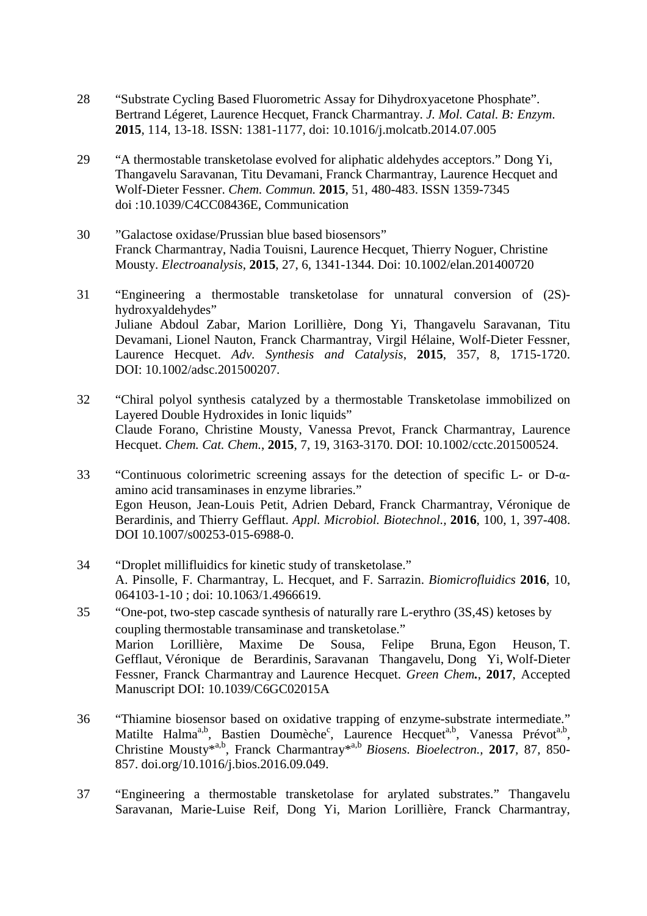- 28 "Substrate Cycling Based Fluorometric Assay for Dihydroxyacetone Phosphate". Bertrand Légeret, Laurence Hecquet, Franck Charmantray. *J. Mol. Catal. B: Enzym*. **2015**, 114, 13-18. ISSN: 1381-1177, doi: 10.1016/j.molcatb.2014.07.005
- 29 "A thermostable transketolase evolved for aliphatic aldehydes acceptors." Dong Yi, Thangavelu Saravanan, Titu Devamani, Franck Charmantray, Laurence Hecquet and Wolf-Dieter Fessner. *Chem. Commun.* **2015**, 51, 480-483. ISSN 1359-7345 doi :10.1039/C4CC08436E, Communication
- 30 "Galactose oxidase/Prussian blue based biosensors" Franck Charmantray, Nadia Touisni, Laurence Hecquet, Thierry Noguer, Christine Mousty. *Electroanalysis*, **2015**, 27, 6, 1341-1344. Doi: 10.1002/elan.201400720
- 31 "Engineering a thermostable transketolase for unnatural conversion of (2S) hydroxyaldehydes" Juliane Abdoul Zabar, Marion Lorillière, Dong Yi, Thangavelu Saravanan, Titu Devamani, Lionel Nauton, Franck Charmantray, Virgil Hélaine, Wolf-Dieter Fessner, Laurence Hecquet. *Adv. Synthesis and Catalysis*, **2015**, 357, 8, 1715-1720. DOI: 10.1002/adsc.201500207.
- 32 "Chiral polyol synthesis catalyzed by a thermostable Transketolase immobilized on Layered Double Hydroxides in Ionic liquids" Claude Forano, Christine Mousty, Vanessa Prevot, Franck Charmantray, Laurence Hecquet. *Chem. Cat. Chem.*, **2015**, 7, 19, 3163-3170. DOI: 10.1002/cctc.201500524.

33 "Continuous colorimetric screening assays for the detection of specific L- or D-αamino acid transaminases in enzyme libraries." Egon Heuson, Jean-Louis Petit, Adrien Debard, Franck Charmantray, Véronique de Berardinis, and Thierry Gefflaut. *Appl. Microbiol. Biotechnol.,* **2016**, 100, 1, 397-408. DOI 10.1007/s00253-015-6988-0.

- 34 "Droplet millifluidics for kinetic study of transketolase." A. Pinsolle, F. Charmantray, L. Hecquet, and F. Sarrazin. *Biomicrofluidics* **2016**, 10, 064103-1-10; doi: 10.1063/1.4966619.
- 35 "One-pot, two-step cascade synthesis of naturally rare L-erythro (3S,4S) ketoses by coupling thermostable transaminase and transketolase." Marion Lorillière, Maxime De Sousa, Felipe Bruna, Egon Heuson, T. Gefflaut, Véronique de Berardinis, Saravanan Thangavelu, Dong Yi, Wolf-Dieter Fessner, Franck Charmantray and Laurence Hecquet. *Green Chem.*, **2017**, Accepted Manuscript DOI: 10.1039/C6GC02015A
- 36 "Thiamine biosensor based on oxidative trapping of enzyme-substrate intermediate." Matilte Halma<sup>a,b</sup>, Bastien Doumèche<sup>c</sup>, Laurence Hecquet<sup>a,b</sup>, Vanessa Prévot<sup>a,b</sup>, Christine Mousty\*a,b, Franck Charmantray\*a,b *Biosens. Bioelectron.,* **2017***,* 87*,* 850- 857. doi.org/10.1016/j.bios.2016.09.049.
- 37 "Engineering a thermostable transketolase for arylated substrates." Thangavelu Saravanan, Marie-Luise Reif, Dong Yi, Marion Lorillière, Franck Charmantray,